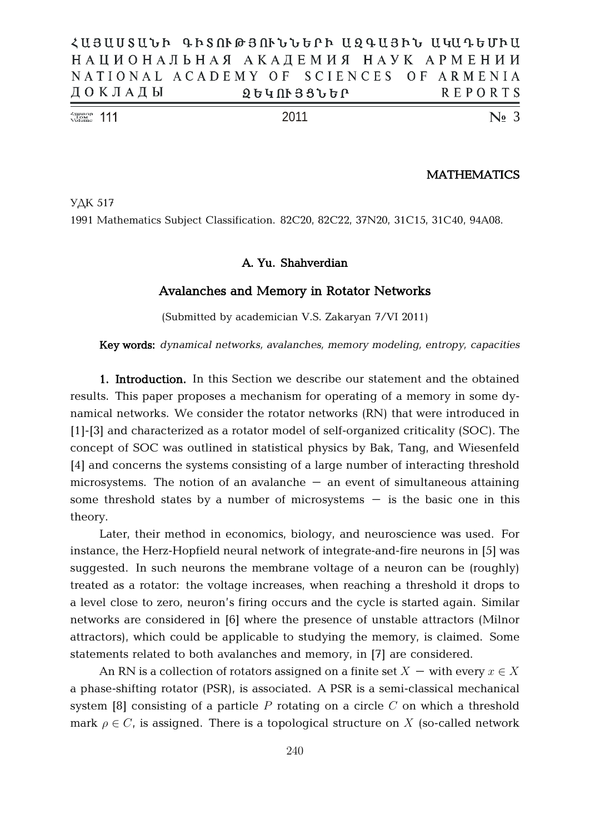| $\frac{\text{Number of Number}}{\text{Volume}}$ 111 |                                           |  |  |                   | 2011 |  |  |  |         | $\mathbb{N}$ <sub>2</sub> 3 |  |
|-----------------------------------------------------|-------------------------------------------|--|--|-------------------|------|--|--|--|---------|-----------------------------|--|
|                                                     | ДОКЛАДЫ                                   |  |  | <b>ՁԵԿՈՒՅՑՆԵՐ</b> |      |  |  |  | REPORTS |                             |  |
|                                                     | NATIONAL ACADEMY OF SCIENCES OF ARMENIA   |  |  |                   |      |  |  |  |         |                             |  |
|                                                     | НАЦИОНАЛЬНАЯ АКАДЕМИЯ НАУК АРМЕНИИ        |  |  |                   |      |  |  |  |         |                             |  |
|                                                     | ՀԱՅԱՍՏԱՆԻ ԳԻՏՈՒԹՅՈՒՆՆԵՐԻ ԱԶԳԱՅԻՆ ԱԿԱԳԵՄԻԱ |  |  |                   |      |  |  |  |         |                             |  |

## **MATHEMATICS**

YAK 517 1991 Mathematics Subject Classification. 82C20, 82C22, 37N20, 31C15, 31C40, 94A08.

# **A. Yu. Shahverdian**

## **Avalanches and Memory in Rotator Networks**

(Submitted by academician V.S. Zakaryan 7/VI 2011)

**Key words:** *dynamical networks, avalanches, memory modeling, entropy, capacities*

**1. Introduction.** In this Section we describe our statement and the obtained results. This paper proposes a mechanism for operating of a memory in some dynamical networks. We consider the rotator networks (RN) that were introduced in [1]-[3] and characterized as a rotator model of self-organized criticality (SOC). The concept of SOC was outlined in statistical physics by Bak, Tang, and Wiesenfeld [4] and concerns the systems consisting of a large number of interacting threshold microsystems. The notion of an avalanche  $-$  an event of simultaneous attaining some threshold states by a number of microsystems  $-$  is the basic one in this theory.

Later, their method in economics, biology, and neuroscience was used. For instance, the Herz-Hopfield neural network of integrate-and-fire neurons in [5] was suggested. In such neurons the membrane voltage of a neuron can be (roughly) treated as a rotator: the voltage increases, when reaching a threshold it drops to a level close to zero, neuron's firing occurs and the cycle is started again. Similar networks are considered in [6] where the presence of unstable attractors (Milnor attractors), which could be applicable to studying the memory, is claimed. Some statements related to both avalanches and memory, in [7] are considered.

An RN is a collection of rotators assigned on a finite set  $X$  – with every  $x \in X$ a phase-shifting rotator (PSR), is associated. A PSR is a semi-classical mechanical system [8] consisting of a particle  $P$  rotating on a circle  $C$  on which a threshold mark  $\rho \in C$ , is assigned. There is a topological structure on X (so-called network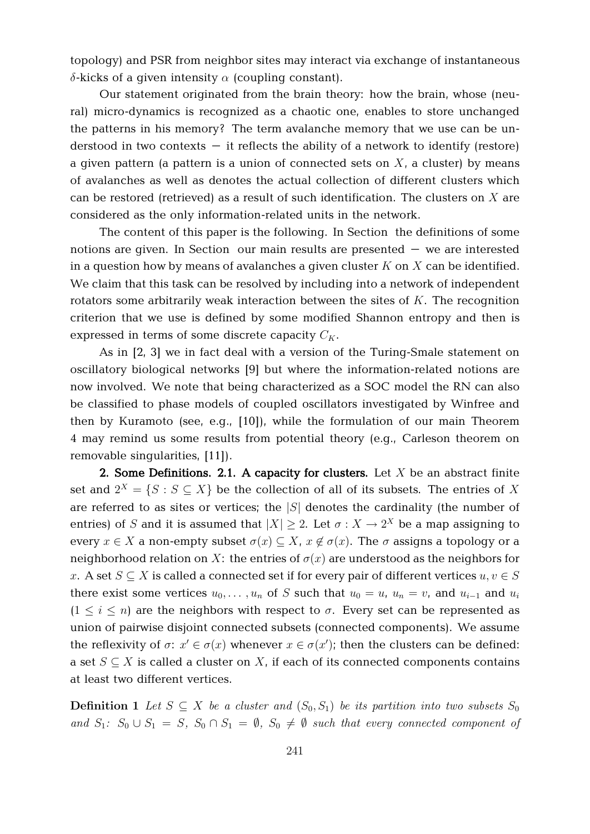topology) and PSR from neighbor sites may interact via exchange of instantaneous  $\delta$ -kicks of a given intensity  $\alpha$  (coupling constant).

Our statement originated from the brain theory: how the brain, whose (neural) micro-dynamics is recognized as a chaotic one, enables to store unchanged the patterns in his memory? The term avalanche memory that we use can be understood in two contexts  $-$  it reflects the ability of a network to identify (restore) a given pattern (a pattern is a union of connected sets on  $X<sub>i</sub>$  a cluster) by means of avalanches as well as denotes the actual collection of different clusters which can be restored (retrieved) as a result of such identification. The clusters on  $X$  are considered as the only information-related units in the network.

The content of this paper is the following. In Section the definitions of some notions are given. In Section our main results are presented – we are interested in a question how by means of avalanches a given cluster  $K$  on  $X$  can be identified. We claim that this task can be resolved by including into a network of independent rotators some arbitrarily weak interaction between the sites of  $K$ . The recognition criterion that we use is defined by some modified Shannon entropy and then is expressed in terms of some discrete capacity  $C_K$ .

As in [2, 3] we in fact deal with a version of the Turing-Smale statement on oscillatory biological networks [9] but where the information-related notions are now involved. We note that being characterized as a SOC model the RN can also be classified to phase models of coupled oscillators investigated by Winfree and then by Kuramoto (see, e.g., [10]), while the formulation of our main Theorem 4 may remind us some results from potential theory (e.g., Carleson theorem on removable singularities, [11]).

**2. Some Definitions. 2.1. A capacity for clusters.** Let X be an abstract finite set and  $2^X = \{S : S \subseteq X\}$  be the collection of all of its subsets. The entries of X are referred to as sites or vertices; the  $|S|$  denotes the cardinality (the number of entries) of S and it is assumed that  $|X| \geq 2$ . Let  $\sigma : X \to 2^X$  be a map assigning to every  $x \in X$  a non-empty subset  $\sigma(x) \subseteq X$ ,  $x \notin \sigma(x)$ . The  $\sigma$  assigns a topology or a neighborhood relation on X: the entries of  $\sigma(x)$  are understood as the neighbors for x. A set  $S \subseteq X$  is called a connected set if for every pair of different vertices  $u, v \in S$ there exist some vertices  $u_0, \ldots, u_n$  of S such that  $u_0 = u$ ,  $u_n = v$ , and  $u_{i-1}$  and  $u_i$  $(1 \leq i \leq n)$  are the neighbors with respect to  $\sigma$ . Every set can be represented as union of pairwise disjoint connected subsets (connected components). We assume the reflexivity of  $\sigma: x' \in \sigma(x)$  whenever  $x \in \sigma(x')$ ; then the clusters can be defined: a set  $S \subseteq X$  is called a cluster on X, if each of its connected components contains at least two different vertices.

**Definition 1** Let  $S \subseteq X$  be a cluster and  $(S_0, S_1)$  be its partition into two subsets  $S_0$ and  $S_1$ :  $S_0 \cup S_1 = S$ ,  $S_0 \cap S_1 = \emptyset$ ,  $S_0 \neq \emptyset$  such that every connected component of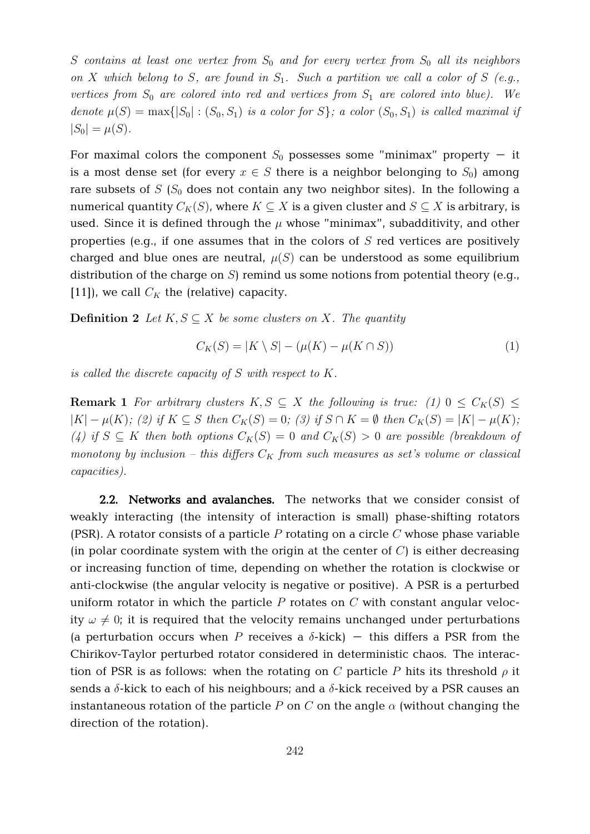S contains at least one vertex from  $S_0$  and for every vertex from  $S_0$  all its neighbors on X which belong to S, are found in  $S_1$ . Such a partition we call a color of S (e.g., vertices from  $S_0$  are colored into red and vertices from  $S_1$  are colored into blue). We denote  $\mu(S) = \max\{|S_0| : (S_0, S_1)$  is a color for  $S\}$ ; a color  $(S_0, S_1)$  is called maximal if  $|S_0| = \mu(S)$ .

For maximal colors the component  $S_0$  possesses some "minimax" property - it is a most dense set (for every  $x \in S$  there is a neighbor belonging to  $S_0$ ) among rare subsets of  $S(S_0$  does not contain any two neighbor sites). In the following a numerical quantity  $C_K(S)$ , where  $K \subseteq X$  is a given cluster and  $S \subseteq X$  is arbitrary, is used. Since it is defined through the  $\mu$  whose "minimax", subadditivity, and other properties (e.g., if one assumes that in the colors of  $S$  red vertices are positively charged and blue ones are neutral,  $\mu(S)$  can be understood as some equilibrium distribution of the charge on  $S$ ) remind us some notions from potential theory (e.g., [11]), we call  $C_K$  the (relative) capacity.

**Definition 2** Let  $K, S \subseteq X$  be some clusters on X. The quantity

$$
C_K(S) = |K \setminus S| - (\mu(K) - \mu(K \cap S))
$$
\n(1)

is called the discrete capacity of  $S$  with respect to  $K$ .

**Remark 1** For arbitrary clusters  $K, S \subseteq X$  the following is true: (1)  $0 \leq C_K(S) \leq$  $|K| - \mu(K)$ ; (2) if  $K \subseteq S$  then  $C_K(S) = 0$ ; (3) if  $S \cap K = \emptyset$  then  $C_K(S) = |K| - \mu(K)$ ; (4) if  $S \subseteq K$  then both options  $C_K(S) = 0$  and  $C_K(S) > 0$  are possible (breakdown of monotony by inclusion – this differs  $C_K$  from such measures as set's volume or classical capacities).

**2.2. Networks and avalanches.** The networks that we consider consist of weakly interacting (the intensity of interaction is small) phase-shifting rotators (PSR). A rotator consists of a particle  $P$  rotating on a circle  $C$  whose phase variable (in polar coordinate system with the origin at the center of  $C$ ) is either decreasing or increasing function of time, depending on whether the rotation is clockwise or anti-clockwise (the angular velocity is negative or positive). A PSR is a perturbed uniform rotator in which the particle  $P$  rotates on  $C$  with constant angular velocity  $\omega \neq 0$ ; it is required that the velocity remains unchanged under perturbations (a perturbation occurs when P receives a  $\delta$ -kick) – this differs a PSR from the Chirikov-Taylor perturbed rotator considered in deterministic chaos. The interaction of PSR is as follows: when the rotating on C particle P hits its threshold  $\rho$  it sends a  $\delta$ -kick to each of his neighbours; and a  $\delta$ -kick received by a PSR causes an instantaneous rotation of the particle P on C on the angle  $\alpha$  (without changing the direction of the rotation).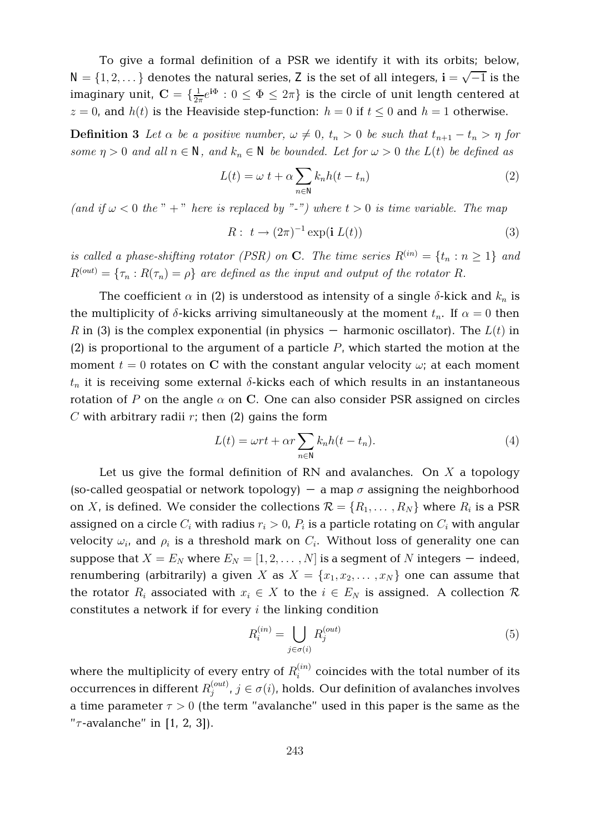To give a formal definition of a PSR we identify it with its orbits; below,  $N = \{1, 2, ...\}$  denotes the natural series, Z is the set of all integers,  $\mathbf{i} = \sqrt{-1}$  is the imaginary unit,  $\mathbf{C} = \{\frac{1}{2n}$  $\frac{1}{2\pi}e^{\mathbf{i}\Phi}: 0 \leq \Phi \leq 2\pi\}$  is the circle of unit length centered at  $z = 0$ , and  $h(t)$  is the Heaviside step-function:  $h = 0$  if  $t \le 0$  and  $h = 1$  otherwise.

**Definition 3** Let  $\alpha$  be a positive number,  $\omega \neq 0$ ,  $t_n > 0$  be such that  $t_{n+1} - t_n > \eta$  for some  $\eta > 0$  and all  $n \in \mathbb{N}$ , and  $k_n \in \mathbb{N}$  be bounded. Let for  $\omega > 0$  the  $L(t)$  be defined as

$$
L(t) = \omega \ t + \alpha \sum_{n \in \mathbb{N}} k_n h(t - t_n)
$$
\n(2)

(and if  $\omega < 0$  the " + " here is replaced by "-") where  $t > 0$  is time variable. The map

$$
R: t \to (2\pi)^{-1} \exp(\mathbf{i} \ L(t)) \tag{3}
$$

is called a phase-shifting rotator (PSR) on C. The time series  $R^{(in)} = \{t_n : n \geq 1\}$  and  $R^{(out)} = \{\tau_n : R(\tau_n) = \rho\}$  are defined as the input and output of the rotator R.

The coefficient  $\alpha$  in (2) is understood as intensity of a single  $\delta$ -kick and  $k_n$  is the multiplicity of  $\delta$ -kicks arriving simultaneously at the moment  $t_n$ . If  $\alpha = 0$  then R in (3) is the complex exponential (in physics – harmonic oscillator). The  $L(t)$  in  $(2)$  is proportional to the argument of a particle P, which started the motion at the moment  $t = 0$  rotates on C with the constant angular velocity  $\omega$ ; at each moment  $t_n$  it is receiving some external  $\delta$ -kicks each of which results in an instantaneous rotation of P on the angle  $\alpha$  on C. One can also consider PSR assigned on circles C with arbitrary radii  $r$ ; then (2) gains the form

$$
L(t) = \omega rt + \alpha r \sum_{n \in \mathbf{N}} k_n h(t - t_n).
$$
 (4)

Let us give the formal definition of RN and avalanches. On  $X$  a topology (so-called geospatial or network topology) – a map  $\sigma$  assigning the neighborhood on X, is defined. We consider the collections  $\mathcal{R} = \{R_1, \ldots, R_N\}$  where  $R_i$  is a PSR assigned on a circle  $C_i$  with radius  $r_i > 0$ ,  $P_i$  is a particle rotating on  $C_i$  with angular velocity  $\omega_i$ , and  $\rho_i$  is a threshold mark on  $C_i.$  Without loss of generality one can suppose that  $X = E_N$  where  $E_N = [1, 2, \dots, N]$  is a segment of N integers – indeed, renumbering (arbitrarily) a given X as  $X = \{x_1, x_2, \ldots, x_N\}$  one can assume that the rotator  $R_i$  associated with  $x_i \in X$  to the  $i \in E_N$  is assigned. A collection  $\mathcal R$ constitutes a network if for every  $i$  the linking condition

$$
R_i^{(in)} = \bigcup_{j \in \sigma(i)} R_j^{(out)} \tag{5}
$$

where the multiplicity of every entry of  $R_i^{(in)}$  $i_i^{(m)}$  coincides with the total number of its occurrences in different  $R_{i}^{(out)}$  $j^{(out)}$ ,  $j \in \sigma(i)$ , holds. Our definition of avalanches involves a time parameter  $\tau > 0$  (the term "avalanche" used in this paper is the same as the " $\tau$ -avalanche" in [1, 2, 3]).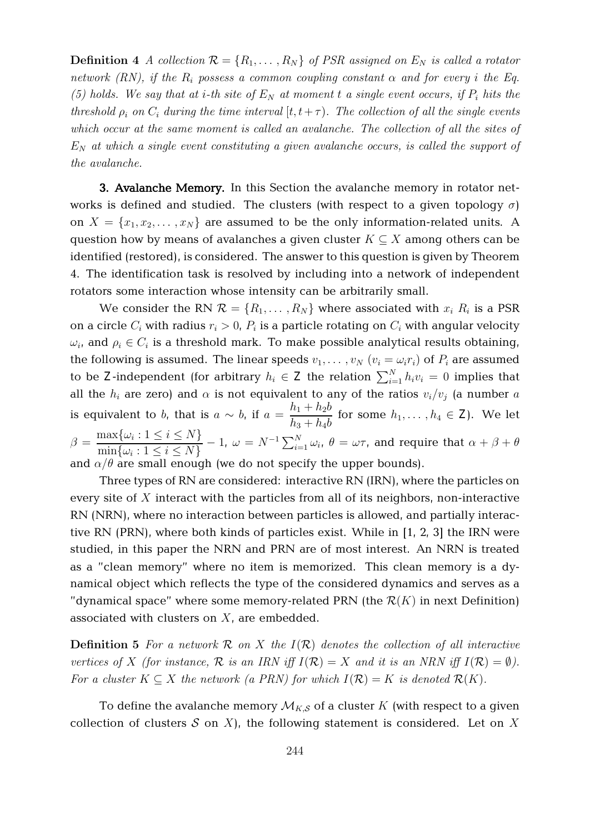**Definition 4** A collection  $\mathcal{R} = \{R_1, \ldots, R_N\}$  of PSR assigned on  $E_N$  is called a rotator network (RN), if the  $R_i$  possess a common coupling constant  $\alpha$  and for every i the Eq. (5) holds. We say that at *i*-th site of  $E<sub>N</sub>$  at moment t a single event occurs, if  $P<sub>i</sub>$  hits the threshold  $\rho_i$  on  $C_i$  during the time interval  $[t, t + \tau)$ . The collection of all the single events which occur at the same moment is called an avalanche. The collection of all the sites of  $E_N$  at which a single event constituting a given avalanche occurs, is called the support of the avalanche.

**3. Avalanche Memory.** In this Section the avalanche memory in rotator networks is defined and studied. The clusters (with respect to a given topology  $\sigma$ ) on  $X = \{x_1, x_2, \dots, x_N\}$  are assumed to be the only information-related units. A question how by means of avalanches a given cluster  $K \subseteq X$  among others can be identified (restored), is considered. The answer to this question is given by Theorem 4. The identification task is resolved by including into a network of independent rotators some interaction whose intensity can be arbitrarily small.

We consider the RN  $\mathcal{R} = \{R_1, \ldots, R_N\}$  where associated with  $x_i R_i$  is a PSR on a circle  $C_i$  with radius  $r_i > 0$ ,  $P_i$  is a particle rotating on  $C_i$  with angular velocity  $\omega_i$ , and  $\rho_i \in C_i$  is a threshold mark. To make possible analytical results obtaining, the following is assumed. The linear speeds  $v_1, \ldots, v_N$   $(v_i = \omega_i r_i)$  of  $P_i$  are assumed to be Z-independent (for arbitrary  $h_i \in \mathbf{Z}$  the relation  $\sum_{i=1}^{N} h_i v_i = 0$  implies that all the  $h_i$  are zero) and  $\alpha$  is not equivalent to any of the ratios  $v_i/v_j$  (a number a is equivalent to b, that is  $a \sim b$ , if  $a =$  $h_1 + h_2b$  $\frac{h_1 + h_2 b}{h_3 + h_4 b}$  for some  $h_1, \ldots, h_4 \in \mathbb{Z}$ ). We let  $\beta = \frac{\max\{\omega_i : 1 \leq i \leq N\}}{\sum_{i=1}^n \lambda_i^2 + \cdots + \lambda_i^N}$  $\min_{i \in \{1, \ldots, n\}} \{\omega_i : 1 \leq i \leq N\}$  $-$  1,  $\omega = N^{-1} \sum_{i=1}^N \omega_i$ ,  $\theta = \omega \tau$ , and require that  $\alpha + \beta + \theta$ and  $\alpha/\theta$  are small enough (we do not specify the upper bounds).

Three types of RN are considered: interactive RN (IRN), where the particles on every site of  $X$  interact with the particles from all of its neighbors, non-interactive RN (NRN), where no interaction between particles is allowed, and partially interactive RN (PRN), where both kinds of particles exist. While in [1, 2, 3] the IRN were studied, in this paper the NRN and PRN are of most interest. An NRN is treated as a "clean memory" where no item is memorized. This clean memory is a dynamical object which reflects the type of the considered dynamics and serves as a "dynamical space" where some memory-related PRN (the  $\mathcal{R}(K)$  in next Definition) associated with clusters on  $X$ , are embedded.

**Definition 5** For a network  $\mathcal{R}$  on  $X$  the  $I(\mathcal{R})$  denotes the collection of all interactive vertices of X (for instance, R is an IRN iff  $I(\mathcal{R}) = X$  and it is an NRN iff  $I(\mathcal{R}) = \emptyset$ ). For a cluster  $K \subseteq X$  the network (a PRN) for which  $I(\mathcal{R}) = K$  is denoted  $\mathcal{R}(K)$ .

To define the avalanche memory  $\mathcal{M}_{K,\mathcal{S}}$  of a cluster K (with respect to a given collection of clusters  $S$  on  $X$ ), the following statement is considered. Let on  $X$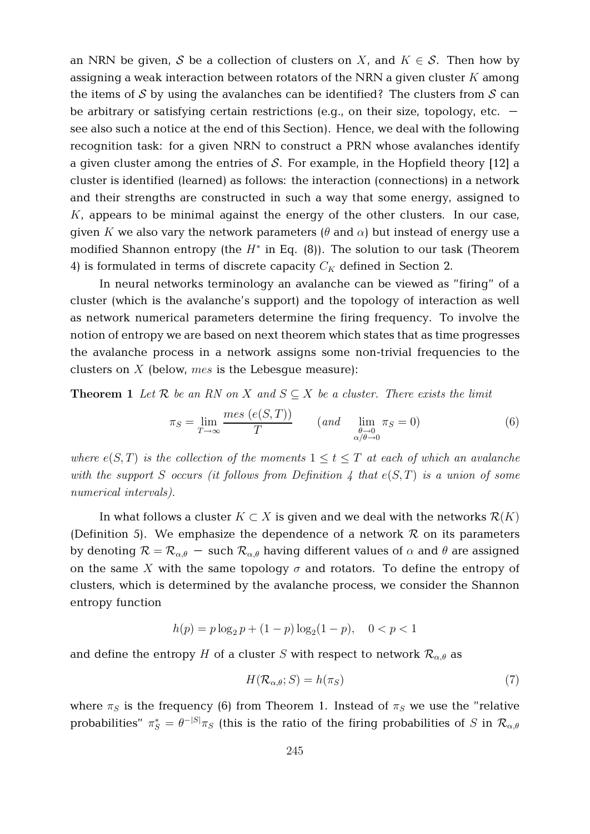an NRN be given, S be a collection of clusters on X, and  $K \in S$ . Then how by assigning a weak interaction between rotators of the NRN a given cluster  $K$  among the items of  $S$  by using the avalanches can be identified? The clusters from  $S$  can be arbitrary or satisfying certain restrictions (e.g., on their size, topology, etc.  $$ see also such a notice at the end of this Section). Hence, we deal with the following recognition task: for a given NRN to construct a PRN whose avalanches identify a given cluster among the entries of S. For example, in the Hopfield theory  $[12]$  a cluster is identified (learned) as follows: the interaction (connections) in a network and their strengths are constructed in such a way that some energy, assigned to  $K$ , appears to be minimal against the energy of the other clusters. In our case, given K we also vary the network parameters  $(\theta$  and  $\alpha)$  but instead of energy use a modified Shannon entropy (the  $H^*$  in Eq. (8)). The solution to our task (Theorem 4) is formulated in terms of discrete capacity  $C_K$  defined in Section 2.

In neural networks terminology an avalanche can be viewed as "firing" of a cluster (which is the avalanche's support) and the topology of interaction as well as network numerical parameters determine the firing frequency. To involve the notion of entropy we are based on next theorem which states that as time progresses the avalanche process in a network assigns some non-trivial frequencies to the clusters on  $X$  (below, mes is the Lebesgue measure):

**Theorem 1** Let R be an RN on X and  $S \subseteq X$  be a cluster. There exists the limit

$$
\pi_S = \lim_{T \to \infty} \frac{mes\ (e(S, T))}{T} \qquad (and \quad \lim_{\substack{\theta \to 0 \\ \alpha/\theta \to 0}} \pi_S = 0)
$$
 (6)

where  $e(S,T)$  is the collection of the moments  $1 \le t \le T$  at each of which an avalanche with the support S occurs (it follows from Definition 4 that  $e(S,T)$  is a union of some numerical intervals).

In what follows a cluster  $K \subset X$  is given and we deal with the networks  $\mathcal{R}(K)$ (Definition 5). We emphasize the dependence of a network  $R$  on its parameters by denoting  $\mathcal{R} = \mathcal{R}_{\alpha,\theta}$  – such  $\mathcal{R}_{\alpha,\theta}$  having different values of  $\alpha$  and  $\theta$  are assigned on the same X with the same topology  $\sigma$  and rotators. To define the entropy of clusters, which is determined by the avalanche process, we consider the Shannon entropy function

$$
h(p) = p \log_2 p + (1 - p) \log_2 (1 - p), \quad 0 < p < 1
$$

and define the entropy H of a cluster S with respect to network  $\mathcal{R}_{\alpha,\theta}$  as

$$
H(\mathcal{R}_{\alpha,\theta};S) = h(\pi_S) \tag{7}
$$

where  $\pi_S$  is the frequency (6) from Theorem 1. Instead of  $\pi_S$  we use the "relative probabilities"  $\pi_S^* = \theta^{-|S|}\pi_S$  (this is the ratio of the firing probabilities of S in  $\mathcal{R}_{\alpha,\theta}$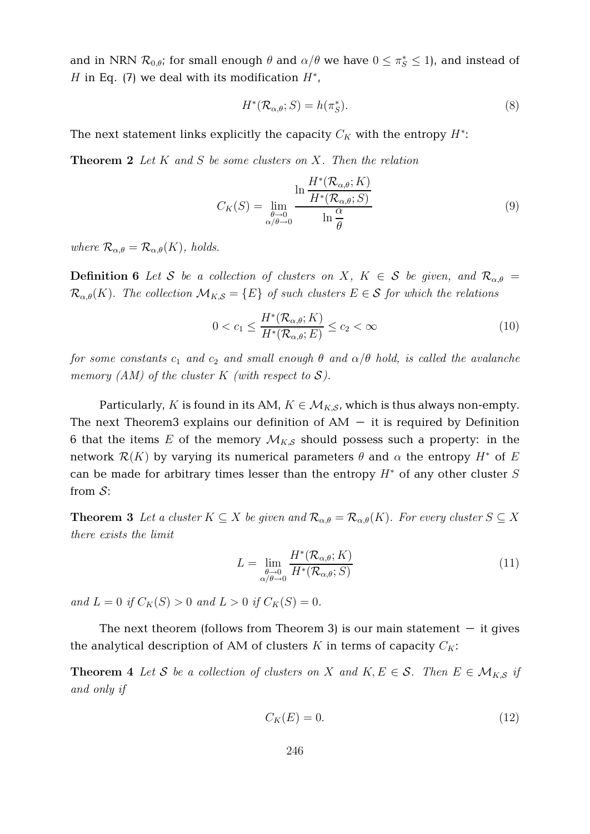and in NRN  $\mathcal{R}_{0,\theta}$ ; for small enough  $\theta$  and  $\alpha/\theta$  we have  $0 \le \pi_S^* \le 1$ ), and instead of H in Eq. (7) we deal with its modification  $H^*$ ,

$$
H^*(\mathcal{R}_{\alpha,\theta};S) = h(\pi_S^*).
$$
\n(8)

The next statement links explicitly the capacity  $C_K$  with the entropy  $H^\ast\!$ :

**Theorem 2** Let K and S be some clusters on X. Then the relation

$$
C_K(S) = \lim_{\substack{\theta \to 0 \\ \alpha/\theta \to 0}} \frac{\ln \frac{H^*(\mathcal{R}_{\alpha,\theta};K)}{H^*(\mathcal{R}_{\alpha,\theta};S)}}{\ln \frac{\alpha}{\theta}}
$$
(9)

where  $\mathcal{R}_{\alpha,\theta} = \mathcal{R}_{\alpha,\theta}(K)$ , holds.

**Definition 6** Let S be a collection of clusters on X,  $K \in S$  be given, and  $\mathcal{R}_{\alpha,\theta}$  =  $\mathcal{R}_{\alpha,\theta}(K)$ . The collection  $\mathcal{M}_{K,S} = \{E\}$  of such clusters  $E \in \mathcal{S}$  for which the relations

$$
0 < c_1 \le \frac{H^*(\mathcal{R}_{\alpha,\theta}; K)}{H^*(\mathcal{R}_{\alpha,\theta}; E)} \le c_2 < \infty \tag{10}
$$

for some constants  $c_1$  and  $c_2$  and small enough  $\theta$  and  $\alpha/\theta$  hold, is called the avalanche memory  $(AM)$  of the cluster K (with respect to S).

Particularly, K is found in its AM,  $K \in \mathcal{M}_{K,S}$ , which is thus always non-empty. The next Theorem3 explains our definition of  $AM - it$  it is required by Definition 6 that the items E of the memory  $\mathcal{M}_{K,S}$  should possess such a property: in the network  $\mathcal{R}(K)$  by varying its numerical parameters  $\theta$  and  $\alpha$  the entropy  $H^*$  of E can be made for arbitrary times lesser than the entropy  $H^*$  of any other cluster S from  $\mathcal{S}$ :

**Theorem 3** Let a cluster  $K \subseteq X$  be given and  $\mathcal{R}_{\alpha,\theta} = \mathcal{R}_{\alpha,\theta}(K)$ . For every cluster  $S \subseteq X$ there exists the limit

$$
L = \lim_{\substack{\theta \to 0 \\ \alpha/\theta \to 0}} \frac{H^*(\mathcal{R}_{\alpha,\theta}; K)}{H^*(\mathcal{R}_{\alpha,\theta}; S)}
$$
(11)

and  $L = 0$  if  $C_K(S) > 0$  and  $L > 0$  if  $C_K(S) = 0$ .

The next theorem (follows from Theorem 3) is our main statement  $-$  it gives the analytical description of AM of clusters K in terms of capacity  $C_K$ :

**Theorem 4** Let S be a collection of clusters on X and  $K, E \in S$ . Then  $E \in M_{K,S}$  if and only if

$$
C_K(E) = 0.\t\t(12)
$$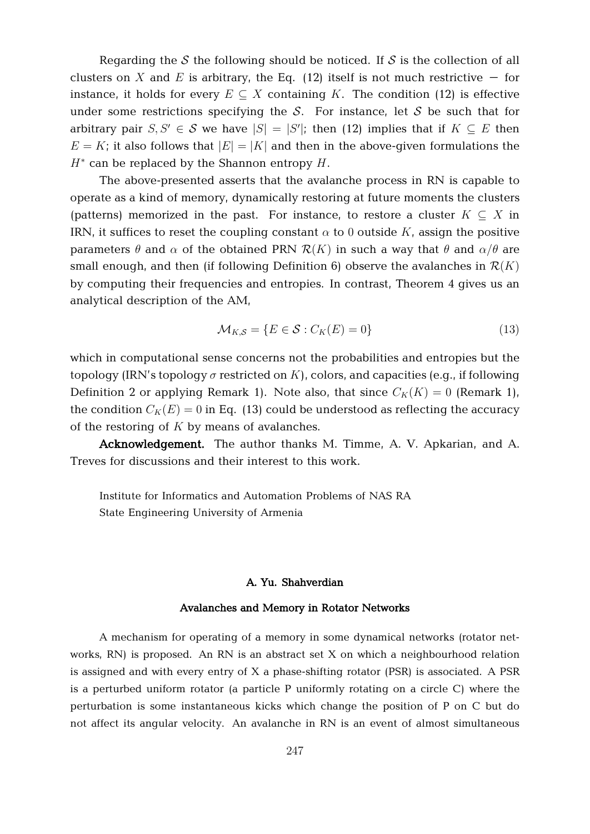Regarding the S the following should be noticed. If S is the collection of all clusters on X and E is arbitrary, the Eq. (12) itself is not much restrictive – for instance, it holds for every  $E \subseteq X$  containing K. The condition (12) is effective under some restrictions specifying the  $S$ . For instance, let S be such that for arbitrary pair  $S, S' \in \mathcal{S}$  we have  $|S| = |S'|$ ; then (12) implies that if  $K \subseteq E$  then  $E = K$ ; it also follows that  $|E| = |K|$  and then in the above-given formulations the  $H^*$  can be replaced by the Shannon entropy  $H$ .

The above-presented asserts that the avalanche process in RN is capable to operate as a kind of memory, dynamically restoring at future moments the clusters (patterns) memorized in the past. For instance, to restore a cluster  $K \subseteq X$  in IRN, it suffices to reset the coupling constant  $\alpha$  to 0 outside K, assign the positive parameters  $\theta$  and  $\alpha$  of the obtained PRN  $\mathcal{R}(K)$  in such a way that  $\theta$  and  $\alpha/\theta$  are small enough, and then (if following Definition 6) observe the avalanches in  $\mathcal{R}(K)$ by computing their frequencies and entropies. In contrast, Theorem 4 gives us an analytical description of the AM,

$$
\mathcal{M}_{K,S} = \{ E \in \mathcal{S} : C_K(E) = 0 \}
$$
\n(13)

which in computational sense concerns not the probabilities and entropies but the topology (IRN's topology  $\sigma$  restricted on K), colors, and capacities (e.g., if following Definition 2 or applying Remark 1). Note also, that since  $C_K(K) = 0$  (Remark 1), the condition  $C_K(E) = 0$  in Eq. (13) could be understood as reflecting the accuracy of the restoring of  $K$  by means of avalanches.

**Acknowledgement.** The author thanks M. Timme, A. V. Apkarian, and A. Treves for discussions and their interest to this work.

Institute for Informatics and Automation Problems of NAS RA State Engineering University of Armenia

## **A. Yu. Shahverdian**

## **Avalanches and Memory in Rotator Networks**

A mechanism for operating of a memory in some dynamical networks (rotator networks, RN) is proposed. An RN is an abstract set X on which a neighbourhood relation is assigned and with every entry of X a phase-shifting rotator (PSR) is associated. A PSR is a perturbed uniform rotator (a particle P uniformly rotating on a circle C) where the perturbation is some instantaneous kicks which change the position of P on C but do not affect its angular velocity. An avalanche in RN is an event of almost simultaneous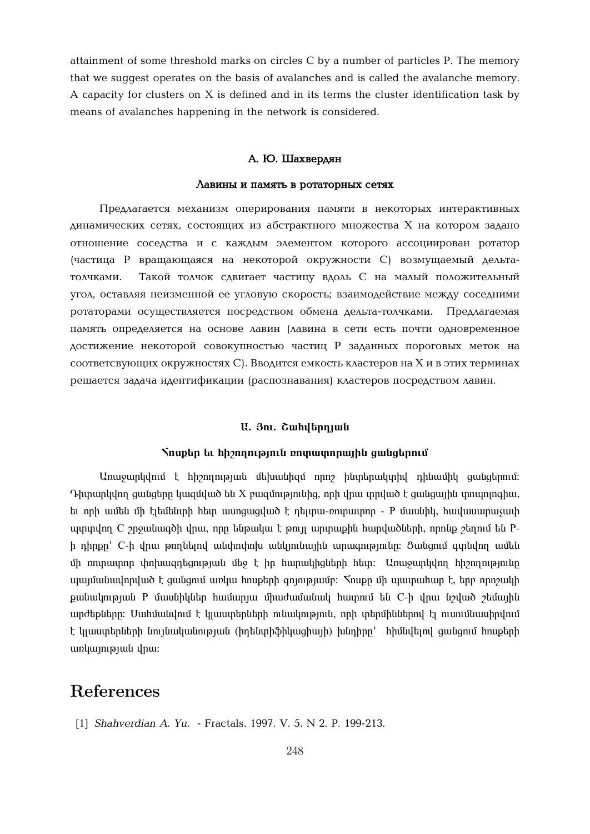attainment of some threshold marks on circles C by a number of particles P. The memory that we suggest operates on the basis of avalanches and is called the avalanche memory. A capacity for clusters on X is defined and in its terms the cluster identification task by means of avalanches happening in the network is considered.

#### $A$ . **Ю.** Шахвердян

#### $\Lambda$ авины и память в ротаторных сетях

Предлагается механизм оперирования памяти в некоторых интерактивных  $\mu$ инамических сетях, состоящих из абстрактного множества X на котором задано отношение соседства и с каждым элементом которого ассоциирован ротатор (частица P вращающаяся на некоторой окружности C) возмущаемый дельтатолчками. Такой толчок сдвигает частицу вдоль С на малый положительный угол, оставляя неизменной ее угловую скорость; взаимодействие между соседними ротаторами осуществляется посредством обмена дельта-толчками. Предлагаемая память определяется на основе лавин (лавина в сети есть почти одновременное достижение некоторой совокупностью частиц P заданных пороговых меток на соответсвующих окружностях C). Вводится емкость кластеров на X и в этих терминах решается задача идентификации (распознавания) кластеров посредством лавин.

### *U. 3nl. Cwhduppywu*

#### $\sum$  $\sum$  **b**  $\sum$  **k**  $\sum$  **b**  $\sum$  **h**  $\sum$  **h**  $\sum$  **h**  $\sum$  **h**  $\sum$  **h**  $\sum$  **h**  $\sum$  **h**  $\sum$  **h**  $\sum$  **h**  $\sum$  **h**  $\sum$  **h**  $\sum$  **h**  $\sum$  **h**  $\sum$  **h**  $\sum$  **h**  $\sum$  **h**  $\sum$  **h**  $\sum$  **h**  $\sum$  **h**  $\sum$  **h**  $\sum$  **h**

Unugupyynu t hhannua uu uthuu hqu npn huythuyuhy nhuuuhy guugtonuu:  $\Lambda$ իսարկվող ցանցերը կազմված են X բազմությունից, որի վրա տրված է ցանցային տոպոյոգիա, ta nph ամեն մի էլեմենտի հետ ասոցացված է դելտա-ռոտատոր - P մասնիկ, հավասարաչափ uyuyulng C 2nowuwqob ynu, nnn tilipwylu t jony wpynwph hwnylwolitinh, nnnlip 2tinniu til Ph դիրքը C-ի վրա թողնելով անփոփոխ անկյունային արագությունը։ Ցանցում գտնվող ամեն ush po un un po un de indius po de la baiañ de la baia de la produziona de produzionale de produzionale de pro  $u$ այմանավորված է ցանցում առկա հոսքերի գոյությամբ:  $\zeta$ ոսքը մի պատահար է, երբ որոշակի puu uu ku puu P մասնիկներ huu մարդա միաժամանակ huunni են C-ի վրա նշված շեմային unժեքները։ Սահմանվում է կյաստերների ունակություն, որի տերմիններով էլ ուսումնասիրվում է կլաստերների նույնականության (իդենտիֆիկացիայի) խնդիրը՝ հիմնվելով ցանցում հոսքերի unluunnanuu inu:

# References

[1] *Shahverdian A. Yu.* - Fractals. 1997. V. 5. N 2. P. 199-213.